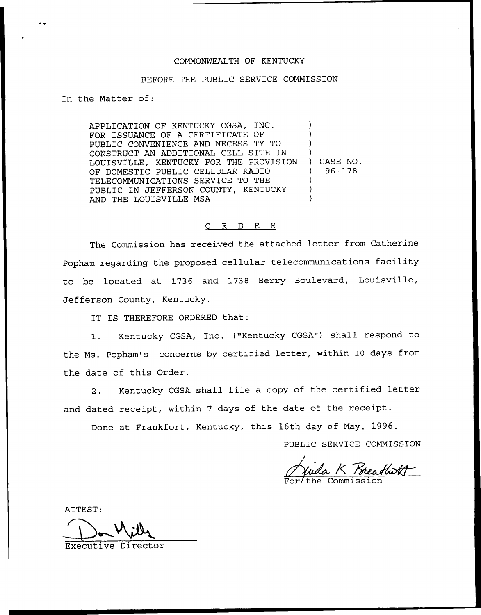## COMMONWEALTH OF KENTUCKY

## BEFORE THE PUBLIC SERVICE COMMISSION

In the Matter of:

APPLICATION OF KENTUCKY CGSA, INC. FOR ISSUANCE OF A CERTIFICATE OF PUBLIC CONVENIENCE AND NECESSITY TO CONSTRUCT AN ADDITIONAL CELL SITE IN LOUISVILLE, KENTUCKY FOR THE PROVISION OF DOMESTIC PUBLIC CELLULAR RADIO TELECOMMUNICATIONS SERVICE TO THE PUBLIC IN JEFFERSON COUNTY, KENTUCKY AND THE LOUISVILLE MSA ) ) ) ) ) CASE NO. ) 96-178 ) ) )

## 0 R <sup>D</sup> E R

The Commission has received the attached letter from Catherine Popham regarding the proposed cellular telecommunications facility to be located at 1736 and 1738 Berry Boulevard, Louisville, Jefferson County, Kentucky.

IT IS THEREFORE ORDERED that:

1. Kentucky CGSA, Inc. ("Kentucky CGSA") shall respond to the Ms. Popham's concerns by certified letter, within 10 days from the date of this Order.

2. Kentucky CGSA shall file <sup>a</sup> copy of the certified letter and dated receipt, within <sup>7</sup> days of the date of the receipt.

Done at Frankfort, Kentucky, this 16th day of Nay, 1996.

PUBLIC SERVICE COMMISSION

Commission  $\frac{\cancel{1}}{\cancel{1}}$ FIITOR 1996<br>Feceipt.<br>ay, 1996.<br>EE COMMISSI<br>Kreadwolf

ATTEST:

Executive Director